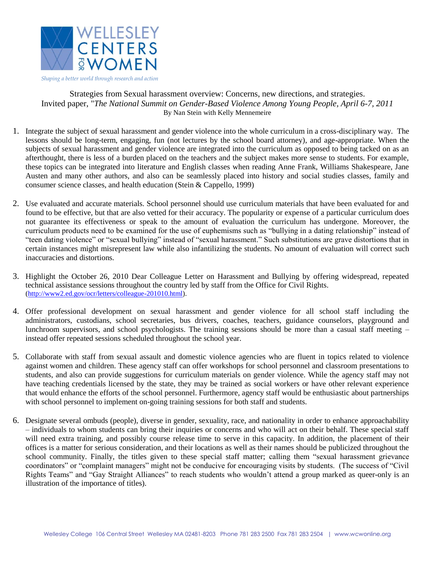

Strategies from Sexual harassment overview: Concerns, new directions, and strategies. Invited paper, "*The National Summit on Gender-Based Violence Among Young People, April 6-7, 2011* By Nan Stein with Kelly Mennemeire

- 1. Integrate the subject of sexual harassment and gender violence into the whole curriculum in a cross-disciplinary way. The lessons should be long-term, engaging, fun (not lectures by the school board attorney), and age-appropriate. When the subjects of sexual harassment and gender violence are integrated into the curriculum as opposed to being tacked on as an afterthought, there is less of a burden placed on the teachers and the subject makes more sense to students. For example, these topics can be integrated into literature and English classes when reading Anne Frank, Williams Shakespeare, Jane Austen and many other authors, and also can be seamlessly placed into history and social studies classes, family and consumer science classes, and health education (Stein & Cappello, 1999)
- 2. Use evaluated and accurate materials. School personnel should use curriculum materials that have been evaluated for and found to be effective, but that are also vetted for their accuracy. The popularity or expense of a particular curriculum does not guarantee its effectiveness or speak to the amount of evaluation the curriculum has undergone. Moreover, the curriculum products need to be examined for the use of euphemisms such as "bullying in a dating relationship" instead of "teen dating violence" or "sexual bullying" instead of "sexual harassment." Such substitutions are grave distortions that in certain instances might misrepresent law while also infantilizing the students. No amount of evaluation will correct such inaccuracies and distortions.
- 3. Highlight the October 26, 2010 Dear Colleague Letter on Harassment and Bullying by offering widespread, repeated technical assistance sessions throughout the country led by staff from the Office for Civil Rights. [\(http://www2.ed.gov/ocr/letters/colleague-201010.html\)](http://www2.ed.gov/ocr/letters/colleague-201010.html).
- 4. Offer professional development on sexual harassment and gender violence for all school staff including the administrators, custodians, school secretaries, bus drivers, coaches, teachers, guidance counselors, playground and lunchroom supervisors, and school psychologists. The training sessions should be more than a casual staff meeting – instead offer repeated sessions scheduled throughout the school year.
- 5. Collaborate with staff from sexual assault and domestic violence agencies who are fluent in topics related to violence against women and children. These agency staff can offer workshops for school personnel and classroom presentations to students, and also can provide suggestions for curriculum materials on gender violence. While the agency staff may not have teaching credentials licensed by the state, they may be trained as social workers or have other relevant experience that would enhance the efforts of the school personnel. Furthermore, agency staff would be enthusiastic about partnerships with school personnel to implement on-going training sessions for both staff and students.
- 6. Designate several ombuds (people), diverse in gender, sexuality, race, and nationality in order to enhance approachability – individuals to whom students can bring their inquiries or concerns and who will act on their behalf. These special staff will need extra training, and possibly course release time to serve in this capacity. In addition, the placement of their offices is a matter for serious consideration, and their locations as well as their names should be publicized throughout the school community. Finally, the titles given to these special staff matter; calling them "sexual harassment grievance coordinators" or "complaint managers" might not be conducive for encouraging visits by students. (The success of "Civil Rights Teams" and "Gay Straight Alliances" to reach students who wouldn't attend a group marked as queer-only is an illustration of the importance of titles).